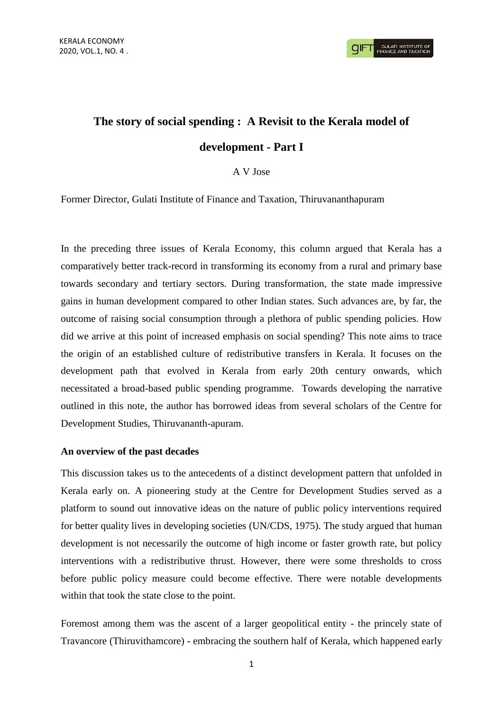# **The story of social spending : A Revisit to the Kerala model of development - Part I**

## A V Jose

Former Director, Gulati Institute of Finance and Taxation, Thiruvananthapuram

In the preceding three issues of Kerala Economy, this column argued that Kerala has a comparatively better track-record in transforming its economy from a rural and primary base towards secondary and tertiary sectors. During transformation, the state made impressive gains in human development compared to other Indian states. Such advances are, by far, the outcome of raising social consumption through a plethora of public spending policies. How did we arrive at this point of increased emphasis on social spending? This note aims to trace the origin of an established culture of redistributive transfers in Kerala. It focuses on the development path that evolved in Kerala from early 20th century onwards, which necessitated a broad-based public spending programme. Towards developing the narrative outlined in this note, the author has borrowed ideas from several scholars of the Centre for Development Studies, Thiruvananth-apuram.

### **An overview of the past decades**

This discussion takes us to the antecedents of a distinct development pattern that unfolded in Kerala early on. A pioneering study at the Centre for Development Studies served as a platform to sound out innovative ideas on the nature of public policy interventions required for better quality lives in developing societies (UN/CDS, 1975). The study argued that human development is not necessarily the outcome of high income or faster growth rate, but policy interventions with a redistributive thrust. However, there were some thresholds to cross before public policy measure could become effective. There were notable developments within that took the state close to the point.

Foremost among them was the ascent of a larger geopolitical entity - the princely state of Travancore (Thiruvithamcore) - embracing the southern half of Kerala, which happened early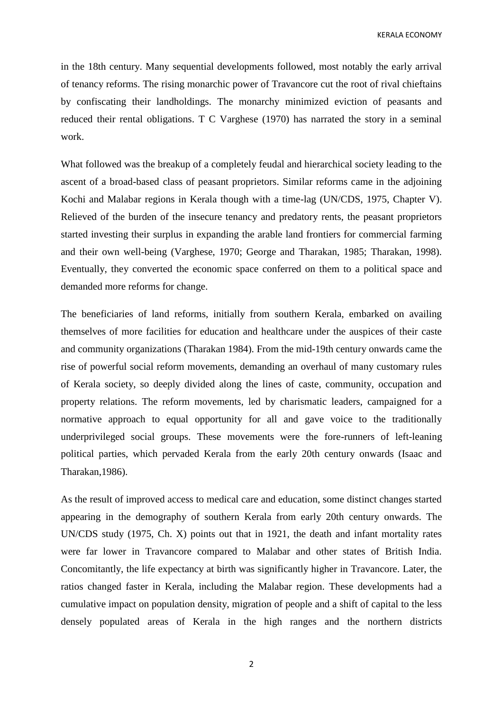KERALA ECONOMY

in the 18th century. Many sequential developments followed, most notably the early arrival of tenancy reforms. The rising monarchic power of Travancore cut the root of rival chieftains by confiscating their landholdings. The monarchy minimized eviction of peasants and reduced their rental obligations. T C Varghese (1970) has narrated the story in a seminal work.

What followed was the breakup of a completely feudal and hierarchical society leading to the ascent of a broad-based class of peasant proprietors. Similar reforms came in the adjoining Kochi and Malabar regions in Kerala though with a time-lag (UN/CDS, 1975, Chapter V). Relieved of the burden of the insecure tenancy and predatory rents, the peasant proprietors started investing their surplus in expanding the arable land frontiers for commercial farming and their own well-being (Varghese, 1970; George and Tharakan, 1985; Tharakan, 1998). Eventually, they converted the economic space conferred on them to a political space and demanded more reforms for change.

The beneficiaries of land reforms, initially from southern Kerala, embarked on availing themselves of more facilities for education and healthcare under the auspices of their caste and community organizations (Tharakan 1984). From the mid-19th century onwards came the rise of powerful social reform movements, demanding an overhaul of many customary rules of Kerala society, so deeply divided along the lines of caste, community, occupation and property relations. The reform movements, led by charismatic leaders, campaigned for a normative approach to equal opportunity for all and gave voice to the traditionally underprivileged social groups. These movements were the fore-runners of left-leaning political parties, which pervaded Kerala from the early 20th century onwards (Isaac and Tharakan,1986).

As the result of improved access to medical care and education, some distinct changes started appearing in the demography of southern Kerala from early 20th century onwards. The UN/CDS study (1975, Ch. X) points out that in 1921, the death and infant mortality rates were far lower in Travancore compared to Malabar and other states of British India. Concomitantly, the life expectancy at birth was significantly higher in Travancore. Later, the ratios changed faster in Kerala, including the Malabar region. These developments had a cumulative impact on population density, migration of people and a shift of capital to the less densely populated areas of Kerala in the high ranges and the northern districts

2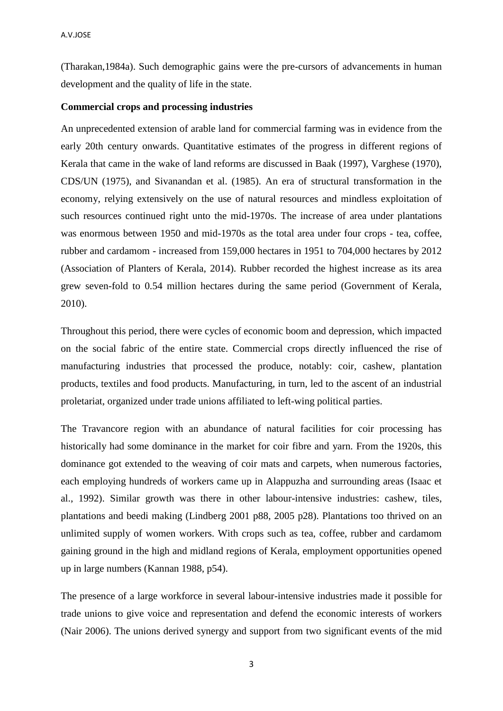(Tharakan,1984a). Such demographic gains were the pre-cursors of advancements in human development and the quality of life in the state.

### **Commercial crops and processing industries**

An unprecedented extension of arable land for commercial farming was in evidence from the early 20th century onwards. Quantitative estimates of the progress in different regions of Kerala that came in the wake of land reforms are discussed in Baak (1997), Varghese (1970), CDS/UN (1975), and Sivanandan et al. (1985). An era of structural transformation in the economy, relying extensively on the use of natural resources and mindless exploitation of such resources continued right unto the mid-1970s. The increase of area under plantations was enormous between 1950 and mid-1970s as the total area under four crops - tea, coffee, rubber and cardamom - increased from 159,000 hectares in 1951 to 704,000 hectares by 2012 (Association of Planters of Kerala, 2014). Rubber recorded the highest increase as its area grew seven-fold to 0.54 million hectares during the same period (Government of Kerala, 2010).

Throughout this period, there were cycles of economic boom and depression, which impacted on the social fabric of the entire state. Commercial crops directly influenced the rise of manufacturing industries that processed the produce, notably: coir, cashew, plantation products, textiles and food products. Manufacturing, in turn, led to the ascent of an industrial proletariat, organized under trade unions affiliated to left-wing political parties.

The Travancore region with an abundance of natural facilities for coir processing has historically had some dominance in the market for coir fibre and yarn. From the 1920s, this dominance got extended to the weaving of coir mats and carpets, when numerous factories, each employing hundreds of workers came up in Alappuzha and surrounding areas (Isaac et al., 1992). Similar growth was there in other labour-intensive industries: cashew, tiles, plantations and beedi making (Lindberg 2001 p88, 2005 p28). Plantations too thrived on an unlimited supply of women workers. With crops such as tea, coffee, rubber and cardamom gaining ground in the high and midland regions of Kerala, employment opportunities opened up in large numbers (Kannan 1988, p54).

The presence of a large workforce in several labour-intensive industries made it possible for trade unions to give voice and representation and defend the economic interests of workers (Nair 2006). The unions derived synergy and support from two significant events of the mid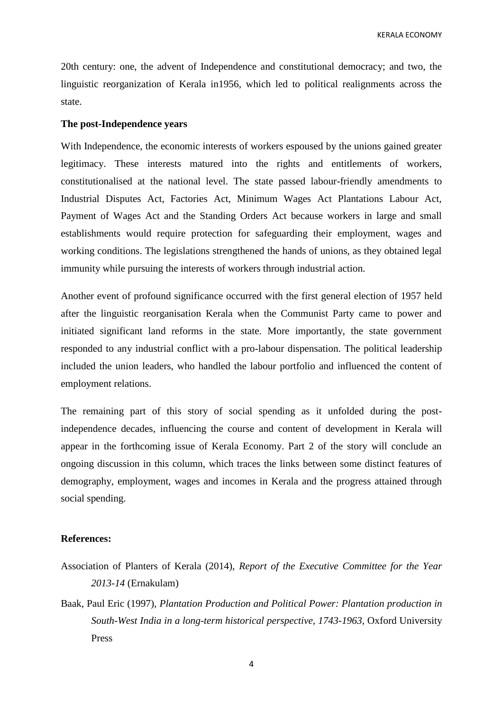KERALA ECONOMY

20th century: one, the advent of Independence and constitutional democracy; and two, the linguistic reorganization of Kerala in1956, which led to political realignments across the state.

## **The post-Independence years**

With Independence, the economic interests of workers espoused by the unions gained greater legitimacy. These interests matured into the rights and entitlements of workers, constitutionalised at the national level. The state passed labour-friendly amendments to Industrial Disputes Act, Factories Act, Minimum Wages Act Plantations Labour Act, Payment of Wages Act and the Standing Orders Act because workers in large and small establishments would require protection for safeguarding their employment, wages and working conditions. The legislations strengthened the hands of unions, as they obtained legal immunity while pursuing the interests of workers through industrial action.

Another event of profound significance occurred with the first general election of 1957 held after the linguistic reorganisation Kerala when the Communist Party came to power and initiated significant land reforms in the state. More importantly, the state government responded to any industrial conflict with a pro-labour dispensation. The political leadership included the union leaders, who handled the labour portfolio and influenced the content of employment relations.

The remaining part of this story of social spending as it unfolded during the postindependence decades, influencing the course and content of development in Kerala will appear in the forthcoming issue of Kerala Economy. Part 2 of the story will conclude an ongoing discussion in this column, which traces the links between some distinct features of demography, employment, wages and incomes in Kerala and the progress attained through social spending.

#### **References:**

- Association of Planters of Kerala (2014), *Report of the Executive Committee for the Year 2013-14* (Ernakulam)
- Baak, Paul Eric (1997), *Plantation Production and Political Power: Plantation production in South-West India in a long-term historical perspective, 1743-1963*, Oxford University Press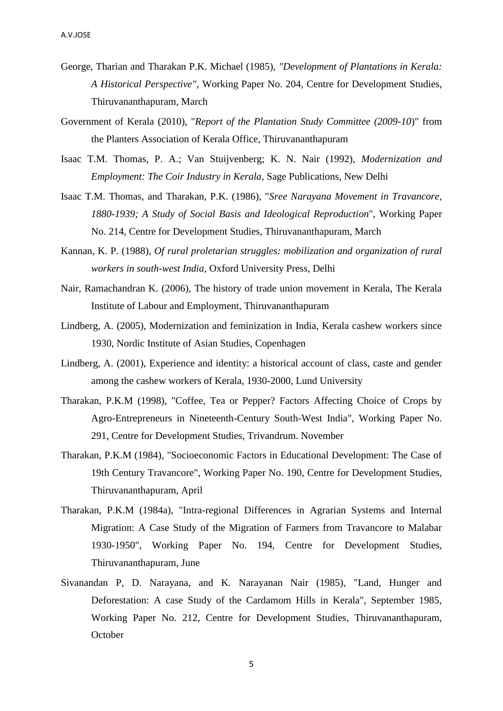- George, Tharian and Tharakan P.K. Michael (1985), *"Development of Plantations in Kerala: A Historical Perspective"*, Working Paper No. 204, Centre for Development Studies, Thiruvananthapuram, March
- Government of Kerala (2010), "*Report of the Plantation Study Committee (2009-10*)" from the Planters Association of Kerala Office, Thiruvananthapuram
- Isaac T.M. Thomas, P. A.; Van Stuijvenberg; K. N. Nair (1992), *Modernization and Employment: The Coir Industry in Kerala*, Sage Publications, New Delhi
- Isaac T.M. Thomas, and Tharakan, P.K. (1986), "*Sree Narayana Movement in Travancore, 1880-1939; A Study of Social Basis and Ideological Reproduction*", Working Paper No. 214, Centre for Development Studies, Thiruvananthapuram, March
- Kannan, K. P. (1988), *Of rural proletarian struggles: mobilization and organization of rural workers in south-west India,* Oxford University Press, Delhi
- Nair, Ramachandran K. (2006), The history of trade union movement in Kerala, The Kerala Institute of Labour and Employment, Thiruvananthapuram
- Lindberg, A. (2005), Modernization and feminization in India, Kerala cashew workers since 1930, Nordic Institute of Asian Studies, Copenhagen
- Lindberg, A. (2001), Experience and identity: a historical account of class, caste and gender among the cashew workers of Kerala, 1930-2000, Lund University
- Tharakan, P.K.M (1998), "Coffee, Tea or Pepper? Factors Affecting Choice of Crops by Agro-Entrepreneurs in Nineteenth-Century South-West India", Working Paper No. 291, Centre for Development Studies, Trivandrum. November
- Tharakan, P.K.M (1984), "Socioeconomic Factors in Educational Development: The Case of 19th Century Travancore", Working Paper No. 190, Centre for Development Studies, Thiruvananthapuram, April
- Tharakan, P.K.M (1984a), "Intra-regional Differences in Agrarian Systems and Internal Migration: A Case Study of the Migration of Farmers from Travancore to Malabar 1930-1950", Working Paper No. 194, Centre for Development Studies, Thiruvananthapuram, June
- Sivanandan P, D. Narayana, and K. Narayanan Nair (1985), "Land, Hunger and Deforestation: A case Study of the Cardamom Hills in Kerala", September 1985, Working Paper No. 212, Centre for Development Studies, Thiruvananthapuram, **October**